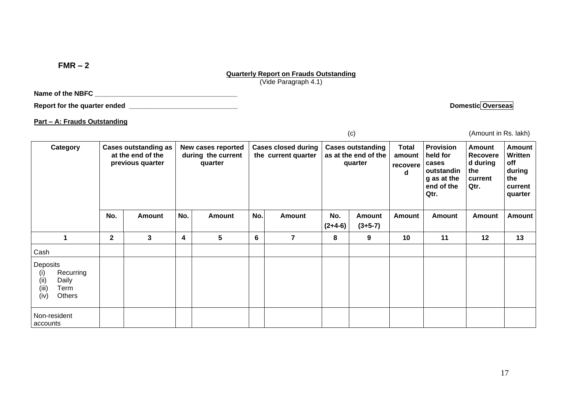**FMR – 2**

## **Quarterly Report on Frauds Outstanding**

(Vide Paragraph 4.1)

Name of the NBFC **and the NBFC** 

**Report for the quarter ended \_\_\_\_\_\_\_\_\_\_\_\_\_\_\_\_\_\_\_\_\_\_\_\_\_\_\_\_\_ Domestic Overseas** 

**Part – A: Frauds Outstanding**

| <b>Cases outstanding as</b><br>Category<br>at the end of the<br>previous quarter        |              |               |   | New cases reported<br>during the current<br>quarter |   | <b>Cases closed during</b><br>the current quarter |   | <b>Cases outstanding</b><br>as at the end of the<br>quarter | <b>Total</b><br>amount<br>recovere<br>d | <b>Provision</b><br>held for<br>cases<br>outstandin<br>g as at the<br>end of the<br>Qtr. | <b>Amount</b><br>Recovere<br>d during<br>the<br>current<br>Qtr. | <b>Amount</b><br>Written<br>off<br>during<br>the<br>current<br>quarter |  |
|-----------------------------------------------------------------------------------------|--------------|---------------|---|-----------------------------------------------------|---|---------------------------------------------------|---|-------------------------------------------------------------|-----------------------------------------|------------------------------------------------------------------------------------------|-----------------------------------------------------------------|------------------------------------------------------------------------|--|
|                                                                                         | No.          | <b>Amount</b> |   | No.<br><b>Amount</b>                                |   | No.<br><b>Amount</b>                              |   | No.<br><b>Amount</b><br>$(2+4-6)$<br>$(3+5-7)$              |                                         | Amount                                                                                   | <b>Amount</b>                                                   | <b>Amount</b>                                                          |  |
| 1                                                                                       | $\mathbf{2}$ | 3             | 4 | 5                                                   | 6 | $\overline{7}$                                    | 8 | 9                                                           | 10                                      | 11                                                                                       | 12                                                              | 13                                                                     |  |
| Cash                                                                                    |              |               |   |                                                     |   |                                                   |   |                                                             |                                         |                                                                                          |                                                                 |                                                                        |  |
| Deposits<br>Recurring<br>(i)<br>(ii)<br>Daily<br>(iii)<br>Term<br>(iv)<br><b>Others</b> |              |               |   |                                                     |   |                                                   |   |                                                             |                                         |                                                                                          |                                                                 |                                                                        |  |
| Non-resident<br>accounts                                                                |              |               |   |                                                     |   |                                                   |   |                                                             |                                         |                                                                                          |                                                                 |                                                                        |  |

(c) (Amount in Rs. lakh)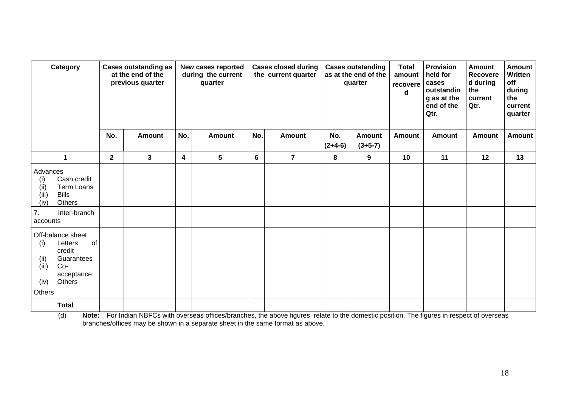| Category                                                                                                                         | <b>Cases outstanding as</b><br>at the end of the<br>previous quarter |              | New cases reported<br>during the current<br>quarter |               |                      | <b>Cases closed during</b><br>the current quarter |                                                | <b>Cases outstanding</b><br>as at the end of the<br>quarter | <b>Total</b><br>amount<br>recovere<br>d | <b>Provision</b><br>held for<br>cases<br>outstandin<br>g as at the<br>end of the<br>Qtr. | <b>Amount</b><br>Recovere<br>d during<br>the<br>current<br>Qtr. | <b>Amount</b><br>Written<br>off<br>during<br>the<br>current<br>quarter |
|----------------------------------------------------------------------------------------------------------------------------------|----------------------------------------------------------------------|--------------|-----------------------------------------------------|---------------|----------------------|---------------------------------------------------|------------------------------------------------|-------------------------------------------------------------|-----------------------------------------|------------------------------------------------------------------------------------------|-----------------------------------------------------------------|------------------------------------------------------------------------|
|                                                                                                                                  | No.                                                                  | Amount       | No.                                                 | <b>Amount</b> | No.<br><b>Amount</b> |                                                   | No.<br><b>Amount</b><br>$(3+5-7)$<br>$(2+4-6)$ |                                                             | Amount                                  | <b>Amount</b>                                                                            | <b>Amount</b>                                                   | <b>Amount</b>                                                          |
| $\mathbf{1}$                                                                                                                     | $\overline{2}$                                                       | $\mathbf{3}$ | 4                                                   | 5             | 6                    | $\overline{7}$                                    | 8                                              | 9                                                           | 10                                      | 11                                                                                       | 12                                                              | 13                                                                     |
| Advances<br>(i)<br>Cash credit<br>(i)<br>Term Loans<br>(iii)<br><b>Bills</b><br>(iv)<br>Others<br>7.<br>Inter-branch<br>accounts |                                                                      |              |                                                     |               |                      |                                                   |                                                |                                                             |                                         |                                                                                          |                                                                 |                                                                        |
| Off-balance sheet<br>Letters<br>of<br>(i)<br>credit<br>Guarantees<br>(ii)<br>(iii)<br>Co-<br>acceptance<br>Others<br>(iv)        |                                                                      |              |                                                     |               |                      |                                                   |                                                |                                                             |                                         |                                                                                          |                                                                 |                                                                        |
| Others                                                                                                                           |                                                                      |              |                                                     |               |                      |                                                   |                                                |                                                             |                                         |                                                                                          |                                                                 |                                                                        |
| <b>Total</b>                                                                                                                     |                                                                      |              |                                                     |               |                      |                                                   |                                                |                                                             |                                         |                                                                                          |                                                                 |                                                                        |

(d) **Note:** For Indian NBFCs with overseas offices/branches, the above figures relate to the domestic position. The figures in respect of overseas branches/offices may be shown in a separate sheet in the same format as above.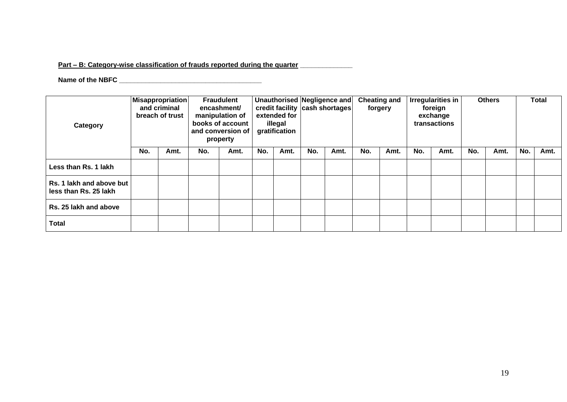## **Part – B: Category-wise classification of frauds reported during the quarter \_\_\_\_\_\_\_\_\_\_\_\_\_\_**

## **Name of the NBFC \_\_\_\_\_\_\_\_\_\_\_\_\_\_\_\_\_\_\_\_\_\_\_\_\_\_\_\_\_\_\_\_\_\_\_\_\_\_**

| Category                                          | <b>Misappropriation</b><br>and criminal<br>breach of trust |      | <b>Fraudulent</b><br>encashment/<br>manipulation of<br>books of account<br>and conversion of<br>property |      | extended for<br>illegal<br>gratification |      | Unauthorised Negligence and<br>credit facility cash shortages |      | <b>Cheating and</b><br>forgery |      | <b>Irregularities in</b><br>foreign<br>exchange<br>transactions |      | <b>Others</b> |      | <b>Total</b> |      |
|---------------------------------------------------|------------------------------------------------------------|------|----------------------------------------------------------------------------------------------------------|------|------------------------------------------|------|---------------------------------------------------------------|------|--------------------------------|------|-----------------------------------------------------------------|------|---------------|------|--------------|------|
|                                                   | No.                                                        | Amt. | No.                                                                                                      | Amt. | No.                                      | Amt. | No.                                                           | Amt. | No.                            | Amt. | No.                                                             | Amt. | No.           | Amt. | No.          | Amt. |
| Less than Rs. 1 lakh                              |                                                            |      |                                                                                                          |      |                                          |      |                                                               |      |                                |      |                                                                 |      |               |      |              |      |
| Rs. 1 lakh and above but<br>less than Rs. 25 lakh |                                                            |      |                                                                                                          |      |                                          |      |                                                               |      |                                |      |                                                                 |      |               |      |              |      |
| Rs. 25 lakh and above                             |                                                            |      |                                                                                                          |      |                                          |      |                                                               |      |                                |      |                                                                 |      |               |      |              |      |
| <b>Total</b>                                      |                                                            |      |                                                                                                          |      |                                          |      |                                                               |      |                                |      |                                                                 |      |               |      |              |      |